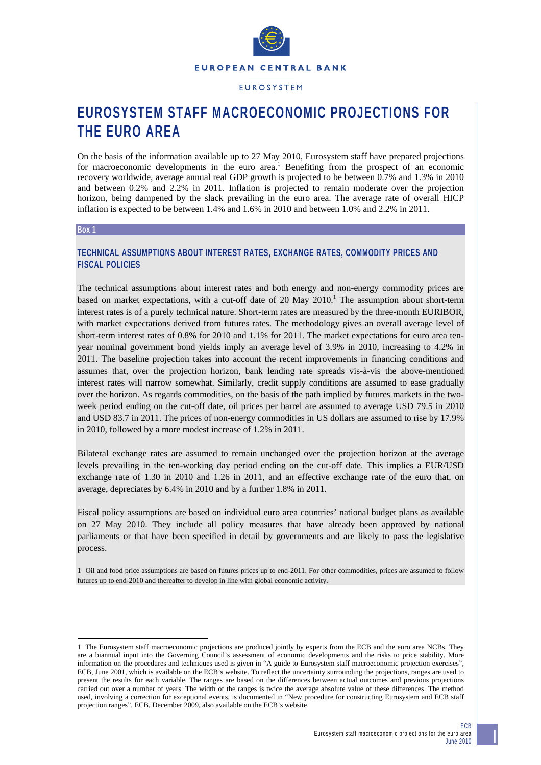

**EUROSYSTEM** 

# **EUROSYSTEM STAFF MACROECONOMIC PROJECTIONS FOR THE EURO AREA**

On the basis of the information available up to 27 May 2010, Eurosystem staff have prepared projections for macroeconomic developments in the euro area.<sup>1</sup> Benefiting from the prospect of an economic recovery worldwide, average annual real GDP growth is projected to be between 0.7% and 1.3% in 2010 and between 0.2% and 2.2% in 2011. Inflation is projected to remain moderate over the projection horizon, being dampened by the slack prevailing in the euro area. The average rate of overall HICP inflation is expected to be between 1.4% and 1.6% in 2010 and between 1.0% and 2.2% in 2011.

#### **Box 1**

l

# **TECHNICAL ASSUMPTIONS ABOUT INTEREST RATES, EXCHANGE RATES, COMMODITY PRICES AND FISCAL POLICIES**

The technical assumptions about interest rates and both energy and non-energy commodity prices are based on market expectations, with a cut-off date of 20 May  $2010$ .<sup>1</sup> The assumption about short-term interest rates is of a purely technical nature. Short-term rates are measured by the three-month EURIBOR, with market expectations derived from futures rates. The methodology gives an overall average level of short-term interest rates of 0.8% for 2010 and 1.1% for 2011. The market expectations for euro area tenyear nominal government bond yields imply an average level of 3.9% in 2010, increasing to 4.2% in 2011. The baseline projection takes into account the recent improvements in financing conditions and assumes that, over the projection horizon, bank lending rate spreads vis-à-vis the above-mentioned interest rates will narrow somewhat. Similarly, credit supply conditions are assumed to ease gradually over the horizon. As regards commodities, on the basis of the path implied by futures markets in the twoweek period ending on the cut-off date, oil prices per barrel are assumed to average USD 79.5 in 2010 and USD 83.7 in 2011. The prices of non-energy commodities in US dollars are assumed to rise by 17.9% in 2010, followed by a more modest increase of 1.2% in 2011.

Bilateral exchange rates are assumed to remain unchanged over the projection horizon at the average levels prevailing in the ten-working day period ending on the cut-off date. This implies a EUR/USD exchange rate of 1.30 in 2010 and 1.26 in 2011, and an effective exchange rate of the euro that, on average, depreciates by 6.4% in 2010 and by a further 1.8% in 2011.

Fiscal policy assumptions are based on individual euro area countries' national budget plans as available on 27 May 2010. They include all policy measures that have already been approved by national parliaments or that have been specified in detail by governments and are likely to pass the legislative process.

1 Oil and food price assumptions are based on futures prices up to end-2011. For other commodities, prices are assumed to follow futures up to end-2010 and thereafter to develop in line with global economic activity.

<sup>1</sup> The Eurosystem staff macroeconomic projections are produced jointly by experts from the ECB and the euro area NCBs. They are a biannual input into the Governing Council's assessment of economic developments and the risks to price stability. More information on the procedures and techniques used is given in "A guide to Eurosystem staff macroeconomic projection exercises", ECB, June 2001, which is available on the ECB's website. To reflect the uncertainty surrounding the projections, ranges are used to present the results for each variable. The ranges are based on the differences between actual outcomes and previous projections carried out over a number of years. The width of the ranges is twice the average absolute value of these differences. The method used, involving a correction for exceptional events, is documented in "New procedure for constructing Eurosystem and ECB staff projection ranges", ECB, December 2009, also available on the ECB's website.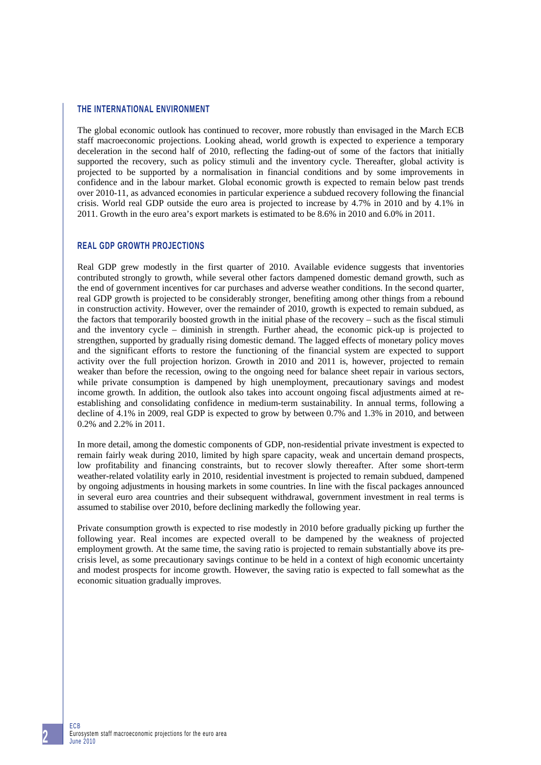## **THE INTERNATIONAL ENVIRONMENT**

The global economic outlook has continued to recover, more robustly than envisaged in the March ECB staff macroeconomic projections. Looking ahead, world growth is expected to experience a temporary deceleration in the second half of 2010, reflecting the fading-out of some of the factors that initially supported the recovery, such as policy stimuli and the inventory cycle. Thereafter, global activity is projected to be supported by a normalisation in financial conditions and by some improvements in confidence and in the labour market. Global economic growth is expected to remain below past trends over 2010-11, as advanced economies in particular experience a subdued recovery following the financial crisis. World real GDP outside the euro area is projected to increase by 4.7% in 2010 and by 4.1% in 2011. Growth in the euro area's export markets is estimated to be 8.6% in 2010 and 6.0% in 2011.

## **REAL GDP GROWTH PROJECTIONS**

Real GDP grew modestly in the first quarter of 2010. Available evidence suggests that inventories contributed strongly to growth, while several other factors dampened domestic demand growth, such as the end of government incentives for car purchases and adverse weather conditions. In the second quarter, real GDP growth is projected to be considerably stronger, benefiting among other things from a rebound in construction activity. However, over the remainder of 2010, growth is expected to remain subdued, as the factors that temporarily boosted growth in the initial phase of the recovery – such as the fiscal stimuli and the inventory cycle – diminish in strength. Further ahead, the economic pick-up is projected to strengthen, supported by gradually rising domestic demand. The lagged effects of monetary policy moves and the significant efforts to restore the functioning of the financial system are expected to support activity over the full projection horizon. Growth in 2010 and 2011 is, however, projected to remain weaker than before the recession, owing to the ongoing need for balance sheet repair in various sectors, while private consumption is dampened by high unemployment, precautionary savings and modest income growth. In addition, the outlook also takes into account ongoing fiscal adjustments aimed at reestablishing and consolidating confidence in medium-term sustainability. In annual terms, following a decline of 4.1% in 2009, real GDP is expected to grow by between 0.7% and 1.3% in 2010, and between 0.2% and 2.2% in 2011.

In more detail, among the domestic components of GDP, non-residential private investment is expected to remain fairly weak during 2010, limited by high spare capacity, weak and uncertain demand prospects, low profitability and financing constraints, but to recover slowly thereafter. After some short-term weather-related volatility early in 2010, residential investment is projected to remain subdued, dampened by ongoing adjustments in housing markets in some countries. In line with the fiscal packages announced in several euro area countries and their subsequent withdrawal, government investment in real terms is assumed to stabilise over 2010, before declining markedly the following year.

Private consumption growth is expected to rise modestly in 2010 before gradually picking up further the following year. Real incomes are expected overall to be dampened by the weakness of projected employment growth. At the same time, the saving ratio is projected to remain substantially above its precrisis level, as some precautionary savings continue to be held in a context of high economic uncertainty and modest prospects for income growth. However, the saving ratio is expected to fall somewhat as the economic situation gradually improves.

ECB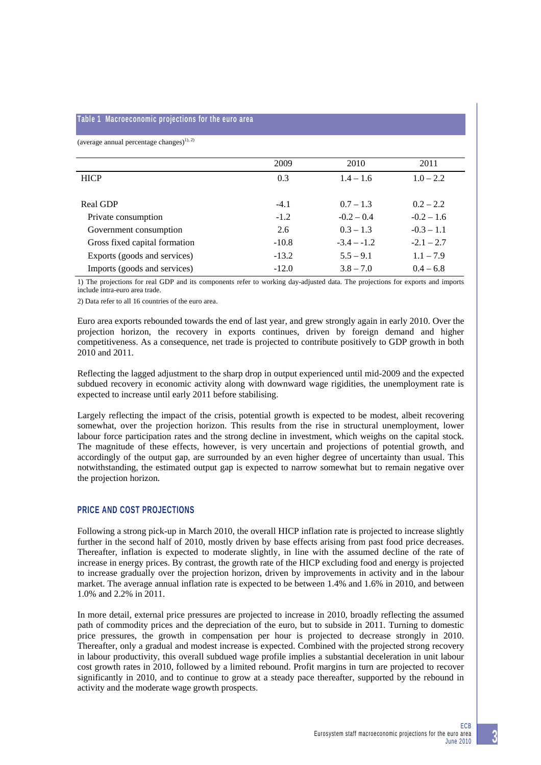#### **Table 1 Macroeconomic projections for the euro area**

(average annual percentage changes) $^{(1), (2)}$ 

|                               | 2009    | 2010          | 2011         |
|-------------------------------|---------|---------------|--------------|
| <b>HICP</b>                   | 0.3     | $1.4 - 1.6$   | $1.0 - 2.2$  |
|                               |         |               |              |
| Real GDP                      | $-4.1$  | $0.7 - 1.3$   | $0.2 - 2.2$  |
| Private consumption           | $-1.2$  | $-0.2 - 0.4$  | $-0.2 - 1.6$ |
| Government consumption        | 2.6     | $0.3 - 1.3$   | $-0.3 - 1.1$ |
| Gross fixed capital formation | $-10.8$ | $-3.4 - -1.2$ | $-2.1 - 2.7$ |
| Exports (goods and services)  | $-13.2$ | $5.5 - 9.1$   | $1.1 - 7.9$  |
| Imports (goods and services)  | $-12.0$ | $3.8 - 7.0$   | $0.4 - 6.8$  |

1) The projections for real GDP and its components refer to working day-adjusted data. The projections for exports and imports include intra-euro area trade.

2) Data refer to all 16 countries of the euro area.

Euro area exports rebounded towards the end of last year, and grew strongly again in early 2010. Over the projection horizon, the recovery in exports continues, driven by foreign demand and higher competitiveness. As a consequence, net trade is projected to contribute positively to GDP growth in both 2010 and 2011.

Reflecting the lagged adjustment to the sharp drop in output experienced until mid-2009 and the expected subdued recovery in economic activity along with downward wage rigidities, the unemployment rate is expected to increase until early 2011 before stabilising.

Largely reflecting the impact of the crisis, potential growth is expected to be modest, albeit recovering somewhat, over the projection horizon. This results from the rise in structural unemployment, lower labour force participation rates and the strong decline in investment, which weighs on the capital stock. The magnitude of these effects, however, is very uncertain and projections of potential growth, and accordingly of the output gap, are surrounded by an even higher degree of uncertainty than usual. This notwithstanding, the estimated output gap is expected to narrow somewhat but to remain negative over the projection horizon.

#### **PRICE AND COST PROJECTIONS**

Following a strong pick-up in March 2010, the overall HICP inflation rate is projected to increase slightly further in the second half of 2010, mostly driven by base effects arising from past food price decreases. Thereafter, inflation is expected to moderate slightly, in line with the assumed decline of the rate of increase in energy prices. By contrast, the growth rate of the HICP excluding food and energy is projected to increase gradually over the projection horizon, driven by improvements in activity and in the labour market. The average annual inflation rate is expected to be between 1.4% and 1.6% in 2010, and between 1.0% and 2.2% in 2011.

In more detail, external price pressures are projected to increase in 2010, broadly reflecting the assumed path of commodity prices and the depreciation of the euro, but to subside in 2011. Turning to domestic price pressures, the growth in compensation per hour is projected to decrease strongly in 2010. Thereafter, only a gradual and modest increase is expected. Combined with the projected strong recovery in labour productivity, this overall subdued wage profile implies a substantial deceleration in unit labour cost growth rates in 2010, followed by a limited rebound. Profit margins in turn are projected to recover significantly in 2010, and to continue to grow at a steady pace thereafter, supported by the rebound in activity and the moderate wage growth prospects.

**3**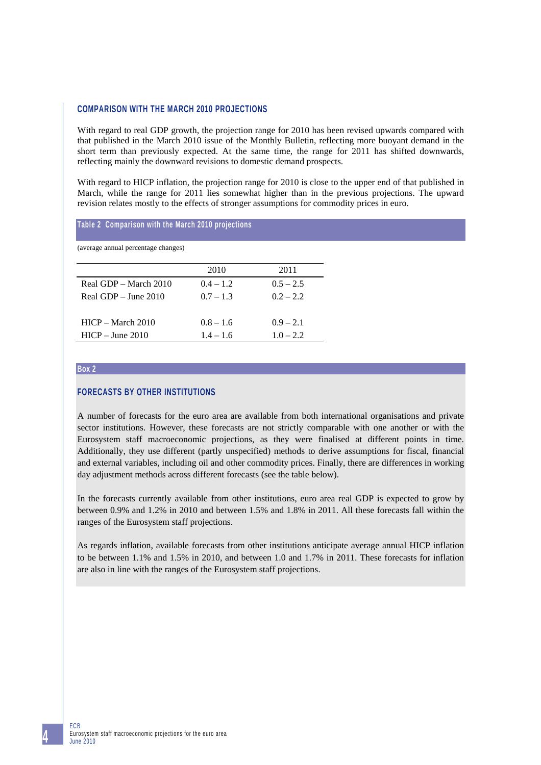# **COMPARISON WITH THE MARCH 2010 PROJECTIONS**

With regard to real GDP growth, the projection range for 2010 has been revised upwards compared with that published in the March 2010 issue of the Monthly Bulletin, reflecting more buoyant demand in the short term than previously expected. At the same time, the range for 2011 has shifted downwards, reflecting mainly the downward revisions to domestic demand prospects.

With regard to HICP inflation, the projection range for 2010 is close to the upper end of that published in March, while the range for 2011 lies somewhat higher than in the previous projections. The upward revision relates mostly to the effects of stronger assumptions for commodity prices in euro.

#### **Table 2 Comparison with the March 2010 projections**

(average annual percentage changes)

|                        | 2010        | 2011        |
|------------------------|-------------|-------------|
| Real GDP – March 2010  | $0.4 - 1.2$ | $0.5 - 2.5$ |
| Real GDP $-$ June 2010 | $0.7 - 1.3$ | $0.2 - 2.2$ |
|                        |             |             |
| $HICP - March 2010$    | $0.8 - 1.6$ | $0.9 - 2.1$ |
| $HICP - June 2010$     | $1.4 - 1.6$ | $1.0 - 2.2$ |

#### **Box 2**

# **FORECASTS BY OTHER INSTITUTIONS**

A number of forecasts for the euro area are available from both international organisations and private sector institutions. However, these forecasts are not strictly comparable with one another or with the Eurosystem staff macroeconomic projections, as they were finalised at different points in time. Additionally, they use different (partly unspecified) methods to derive assumptions for fiscal, financial and external variables, including oil and other commodity prices. Finally, there are differences in working day adjustment methods across different forecasts (see the table below).

In the forecasts currently available from other institutions, euro area real GDP is expected to grow by between 0.9% and 1.2% in 2010 and between 1.5% and 1.8% in 2011. All these forecasts fall within the ranges of the Eurosystem staff projections.

As regards inflation, available forecasts from other institutions anticipate average annual HICP inflation to be between 1.1% and 1.5% in 2010, and between 1.0 and 1.7% in 2011. These forecasts for inflation are also in line with the ranges of the Eurosystem staff projections.